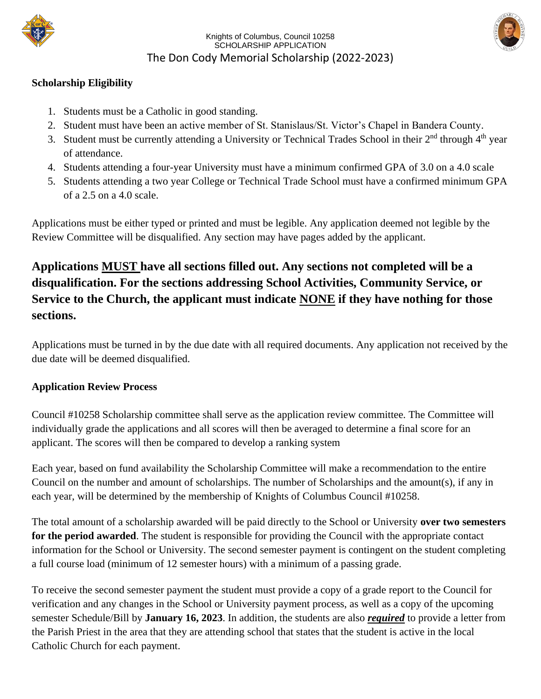



### **Scholarship Eligibility**

- 1. Students must be a Catholic in good standing.
- 2. Student must have been an active member of St. Stanislaus/St. Victor's Chapel in Bandera County.
- 3. Student must be currently attending a University or Technical Trades School in their 2<sup>nd</sup> through 4<sup>th</sup> year of attendance.
- 4. Students attending a four-year University must have a minimum confirmed GPA of 3.0 on a 4.0 scale
- 5. Students attending a two year College or Technical Trade School must have a confirmed minimum GPA of a 2.5 on a 4.0 scale.

Applications must be either typed or printed and must be legible. Any application deemed not legible by the Review Committee will be disqualified. Any section may have pages added by the applicant.

# **Applications MUST have all sections filled out. Any sections not completed will be a disqualification. For the sections addressing School Activities, Community Service, or Service to the Church, the applicant must indicate NONE if they have nothing for those sections.**

Applications must be turned in by the due date with all required documents. Any application not received by the due date will be deemed disqualified.

### **Application Review Process**

Council #10258 Scholarship committee shall serve as the application review committee. The Committee will individually grade the applications and all scores will then be averaged to determine a final score for an applicant. The scores will then be compared to develop a ranking system

Each year, based on fund availability the Scholarship Committee will make a recommendation to the entire Council on the number and amount of scholarships. The number of Scholarships and the amount(s), if any in each year, will be determined by the membership of Knights of Columbus Council #10258.

The total amount of a scholarship awarded will be paid directly to the School or University **over two semesters for the period awarded**. The student is responsible for providing the Council with the appropriate contact information for the School or University. The second semester payment is contingent on the student completing a full course load (minimum of 12 semester hours) with a minimum of a passing grade.

To receive the second semester payment the student must provide a copy of a grade report to the Council for verification and any changes in the School or University payment process, as well as a copy of the upcoming semester Schedule/Bill by **January 16, 2023**. In addition, the students are also *required* to provide a letter from the Parish Priest in the area that they are attending school that states that the student is active in the local Catholic Church for each payment.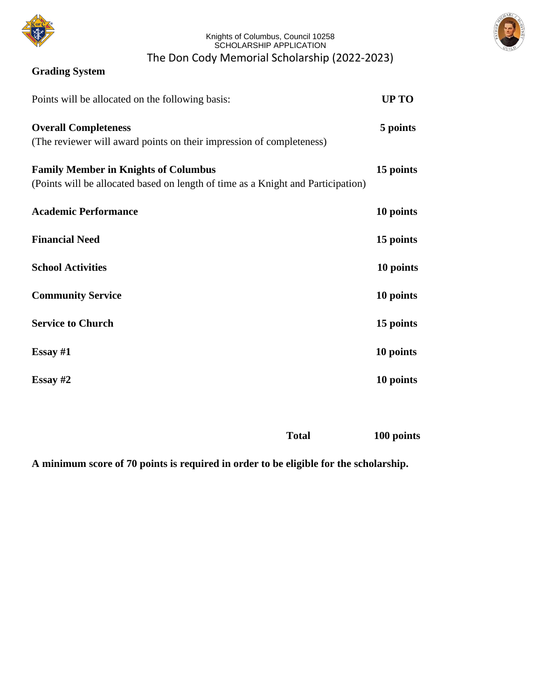



### **Grading System**

| Points will be allocated on the following basis:                                                                                | UP TO     |
|---------------------------------------------------------------------------------------------------------------------------------|-----------|
| <b>Overall Completeness</b><br>(The reviewer will award points on their impression of completeness)                             | 5 points  |
| <b>Family Member in Knights of Columbus</b><br>(Points will be allocated based on length of time as a Knight and Participation) | 15 points |
| <b>Academic Performance</b>                                                                                                     | 10 points |
| <b>Financial Need</b>                                                                                                           | 15 points |
| <b>School Activities</b>                                                                                                        | 10 points |
| <b>Community Service</b>                                                                                                        | 10 points |
| <b>Service to Church</b>                                                                                                        | 15 points |
| Essay $#1$                                                                                                                      | 10 points |
| Essay $#2$                                                                                                                      | 10 points |
|                                                                                                                                 |           |

**Total 100 points**

**A minimum score of 70 points is required in order to be eligible for the scholarship.**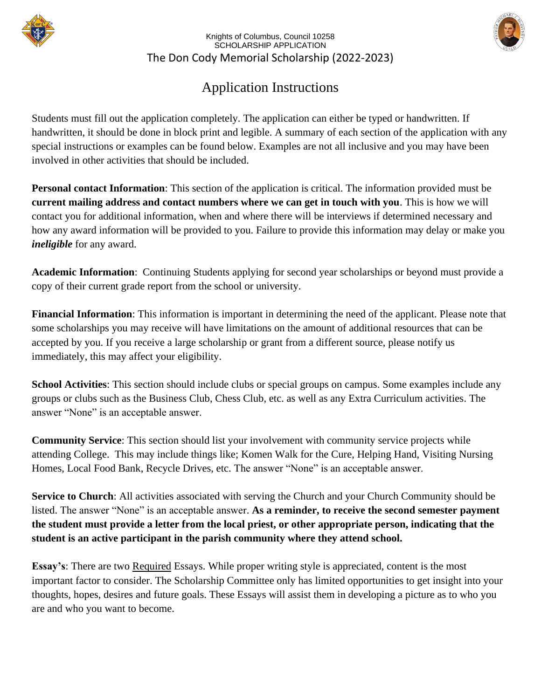



# Application Instructions

Students must fill out the application completely. The application can either be typed or handwritten. If handwritten, it should be done in block print and legible. A summary of each section of the application with any special instructions or examples can be found below. Examples are not all inclusive and you may have been involved in other activities that should be included.

**Personal contact Information**: This section of the application is critical. The information provided must be **current mailing address and contact numbers where we can get in touch with you**. This is how we will contact you for additional information, when and where there will be interviews if determined necessary and how any award information will be provided to you. Failure to provide this information may delay or make you *ineligible* for any award.

**Academic Information**: Continuing Students applying for second year scholarships or beyond must provide a copy of their current grade report from the school or university.

**Financial Information**: This information is important in determining the need of the applicant. Please note that some scholarships you may receive will have limitations on the amount of additional resources that can be accepted by you. If you receive a large scholarship or grant from a different source, please notify us immediately, this may affect your eligibility.

**School Activities**: This section should include clubs or special groups on campus. Some examples include any groups or clubs such as the Business Club, Chess Club, etc. as well as any Extra Curriculum activities. The answer "None" is an acceptable answer.

**Community Service**: This section should list your involvement with community service projects while attending College. This may include things like; Komen Walk for the Cure, Helping Hand, Visiting Nursing Homes, Local Food Bank, Recycle Drives, etc. The answer "None" is an acceptable answer.

**Service to Church**: All activities associated with serving the Church and your Church Community should be listed. The answer "None" is an acceptable answer. **As a reminder, to receive the second semester payment the student must provide a letter from the local priest, or other appropriate person, indicating that the student is an active participant in the parish community where they attend school.**

**Essay's:** There are two **Required** Essays. While proper writing style is appreciated, content is the most important factor to consider. The Scholarship Committee only has limited opportunities to get insight into your thoughts, hopes, desires and future goals. These Essays will assist them in developing a picture as to who you are and who you want to become.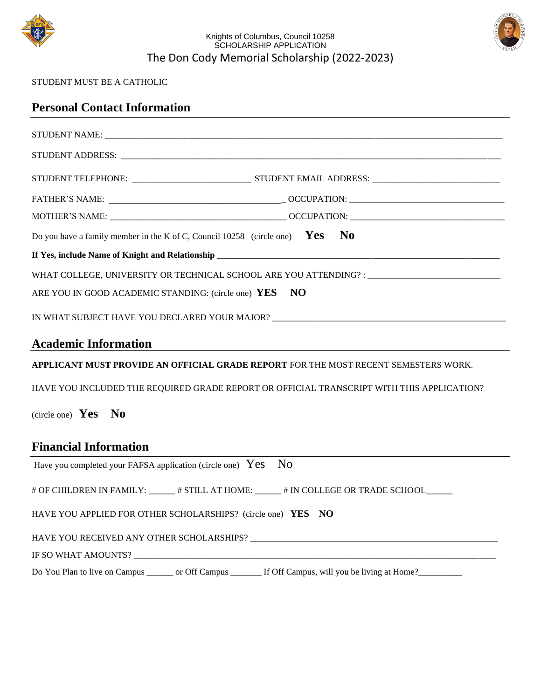



#### STUDENT MUST BE A CATHOLIC

| <b>Personal Contact Information</b>                                                                                                                                                                                                                                 |
|---------------------------------------------------------------------------------------------------------------------------------------------------------------------------------------------------------------------------------------------------------------------|
|                                                                                                                                                                                                                                                                     |
|                                                                                                                                                                                                                                                                     |
|                                                                                                                                                                                                                                                                     |
|                                                                                                                                                                                                                                                                     |
|                                                                                                                                                                                                                                                                     |
| Do you have a family member in the K of C, Council 10258 (circle one) $Yes$ No                                                                                                                                                                                      |
|                                                                                                                                                                                                                                                                     |
| WHAT COLLEGE, UNIVERSITY OR TECHNICAL SCHOOL ARE YOU ATTENDING? : __________________________________                                                                                                                                                                |
| <b>NO</b><br>ARE YOU IN GOOD ACADEMIC STANDING: (circle one) YES                                                                                                                                                                                                    |
| IN WHAT SUBJECT HAVE YOU DECLARED YOUR MAJOR? ___________________________________                                                                                                                                                                                   |
| <b>Academic Information</b><br><u>and the control of the control of the control of the control of the control of the control of the control of the control of the control of the control of the control of the control of the control of the control of the con</u> |
| APPLICANT MUST PROVIDE AN OFFICIAL GRADE REPORT FOR THE MOST RECENT SEMESTERS WORK.                                                                                                                                                                                 |
| HAVE YOU INCLUDED THE REQUIRED GRADE REPORT OR OFFICIAL TRANSCRIPT WITH THIS APPLICATION?                                                                                                                                                                           |
| (circle one) $Yes$ No                                                                                                                                                                                                                                               |
| <b>Financial Information</b>                                                                                                                                                                                                                                        |
| Have you completed your FAFSA application (circle one) $Yes$<br>N <sub>0</sub>                                                                                                                                                                                      |
| # OF CHILDREN IN FAMILY: ______ # STILL AT HOME: ______ # IN COLLEGE OR TRADE SCHOOL______                                                                                                                                                                          |
| HAVE YOU APPLIED FOR OTHER SCHOLARSHIPS? (circle one) YES NO                                                                                                                                                                                                        |
|                                                                                                                                                                                                                                                                     |
|                                                                                                                                                                                                                                                                     |
| Do You Plan to live on Campus ______ or Off Campus ______ If Off Campus, will you be living at Home?_______                                                                                                                                                         |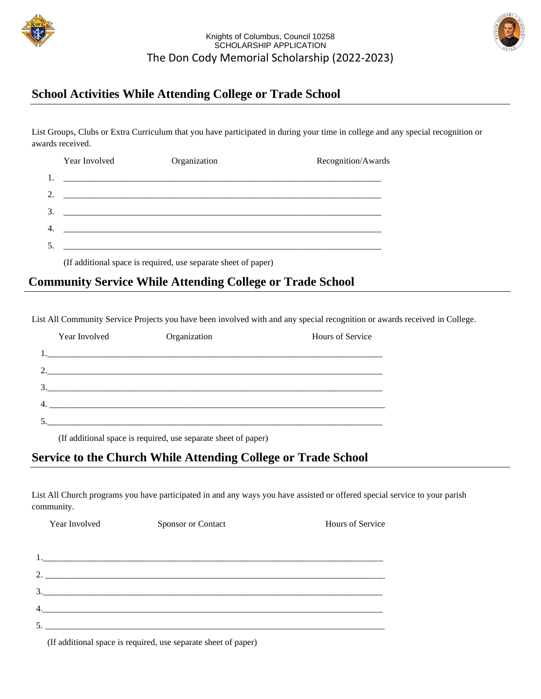



### **School Activities While Attending College or Trade School**

List Groups, Clubs or Extra Curriculum that you have participated in during your time in college and any special recognition or awards received.

### **Community Service While Attending College or Trade School**

List All Community Service Projects you have been involved with and any special recognition or awards received in College.

| Year Involved                                                              | Organization | <b>Hours of Service</b> |
|----------------------------------------------------------------------------|--------------|-------------------------|
|                                                                            |              |                         |
|                                                                            |              |                         |
| $\mathcal{R}$<br><u> 1980 - John Stone, Amerikaansk politiker (* 1980)</u> |              |                         |
| 4.                                                                         |              |                         |
|                                                                            |              |                         |

(If additional space is required, use separate sheet of paper)

### **Service to the Church While Attending College or Trade School**

List All Church programs you have participated in and any ways you have assisted or offered special service to your parish community.

| Year Involved | Sponsor or Contact | Hours of Service |  |
|---------------|--------------------|------------------|--|
|               |                    |                  |  |
|               |                    |                  |  |
| 2.            |                    |                  |  |
|               |                    |                  |  |
|               |                    |                  |  |
| 4.            |                    |                  |  |
|               |                    |                  |  |

(If additional space is required, use separate sheet of paper)